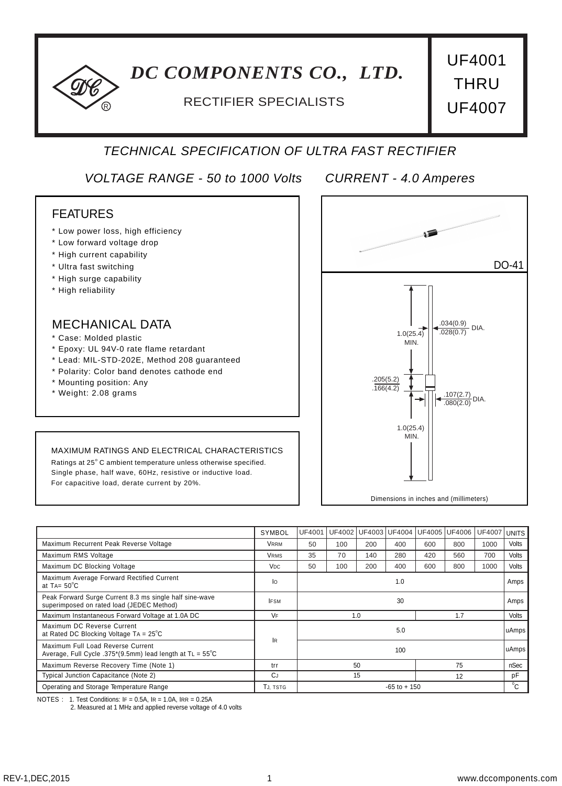# *DC COMPONENTS CO., LTD.*

# RECTIFIER SPECIALISTS **UF4007**

UF4001 **THRU** 

## *TECHNICAL SPECIFICATION OF ULTRA FAST RECTIFIER*

*VOLTAGE RANGE - 50 to 1000 Volts CURRENT - 4.0 Amperes*

### FEATURES

- \* Low power loss, high efficiency
- \* Low forward voltage drop

R

- \* High current capability
- \* Ultra fast switching
- \* High surge capability
- \* High reliability

#### MECHANICAL DATA

- \* Case: Molded plastic
- \* Epoxy: UL 94V-0 rate flame retardant
- \* Lead: MIL-STD-202E, Method 208 guaranteed
- \* Polarity: Color band denotes cathode end
- \* Mounting position: Any
- \* Weight: 2.08 grams

#### MAXIMUM RATINGS AND ELECTRICAL CHARACTERISTICS

Ratings at 25° C ambient temperature unless otherwise specified. Single phase, half wave, 60Hz, resistive or inductive load. For capacitive load, derate current by 20%.



|                                                                                                      | SYMBOL          | UF4001     |                 |     | UF4002 UF4003 UF4004 UF4005 UF4006 |     |       | UF4007 | <b>UNITS</b> |
|------------------------------------------------------------------------------------------------------|-----------------|------------|-----------------|-----|------------------------------------|-----|-------|--------|--------------|
| Maximum Recurrent Peak Reverse Voltage                                                               | <b>VRRM</b>     | 50         | 100             | 200 | 400                                | 600 | 800   | 1000   | Volts        |
| Maximum RMS Voltage                                                                                  | <b>VRMS</b>     | 35         | 70              | 140 | 280                                | 420 | 560   | 700    | Volts        |
| Maximum DC Blocking Voltage                                                                          | V <sub>DC</sub> | 50         | 100             | 200 | 400                                | 600 | 800   | 1000   | Volts        |
| Maximum Average Forward Rectified Current<br>at TA= $50^{\circ}$ C                                   | lо              | 1.0        |                 |     |                                    |     |       |        | Amps         |
| Peak Forward Surge Current 8.3 ms single half sine-wave<br>superimposed on rated load (JEDEC Method) | <b>IFSM</b>     | 30         |                 |     |                                    |     |       | Amps   |              |
| Maximum Instantaneous Forward Voltage at 1.0A DC                                                     | VF              | 1.7<br>1.0 |                 |     |                                    |     | Volts |        |              |
| Maximum DC Reverse Current<br>at Rated DC Blocking Voltage TA = $25^{\circ}$ C                       | <b>IR</b>       | 5.0        |                 |     |                                    |     |       | uAmps  |              |
| Maximum Full Load Reverse Current<br>Average, Full Cycle .375*(9.5mm) lead length at TL = 55°C       |                 |            |                 |     | 100                                |     |       |        | uAmps        |
| Maximum Reverse Recovery Time (Note 1)                                                               | trr             |            | 50<br>75        |     |                                    |     |       |        | nSec         |
| Typical Junction Capacitance (Note 2)                                                                | CJ              |            | 15<br>12        |     |                                    |     |       | pF     |              |
| Operating and Storage Temperature Range                                                              | Tj. tstg        |            | $-65$ to $+150$ |     |                                    |     |       |        | $^0C$        |

NOTES : 1. Test Conditions: IF = 0.5A, IR = 1.0A, IRR = 0.25A

2. Measured at 1 MH**Z** and applied reverse voltage of 4.0 volts